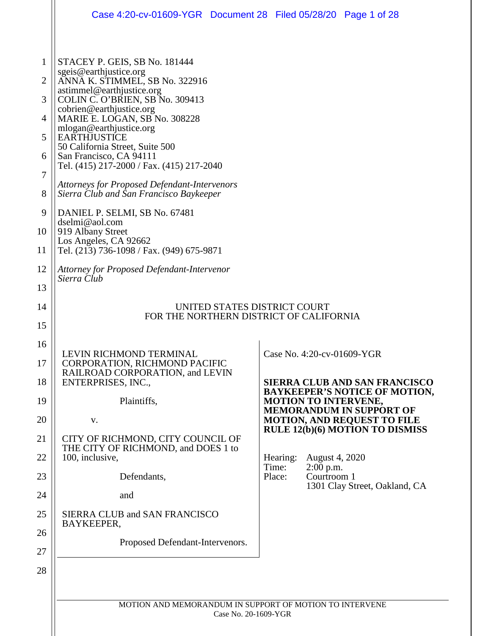|    | Case 4:20-cv-01609-YGR Document 28 Filed 05/28/20 Page 1 of 28                                 |                      |                                               |                                                                         |
|----|------------------------------------------------------------------------------------------------|----------------------|-----------------------------------------------|-------------------------------------------------------------------------|
|    |                                                                                                |                      |                                               |                                                                         |
| 1  | STACEY P. GEIS, SB No. 181444<br>sgeis@earthjustice.org                                        |                      |                                               |                                                                         |
| 2  | ANNA K. STIMMEL, SB No. 322916                                                                 |                      |                                               |                                                                         |
| 3  | astimmel@earthjustice.org<br>COLIN C. O'BRIEN, SB No. 309413                                   |                      |                                               |                                                                         |
| 4  | cobrien@earthjustice.org<br>MARIE E. LOGAN, SB No. 308228                                      |                      |                                               |                                                                         |
| 5  | mlogan@earthjustice.org<br><b>EARTHJUSTICE</b>                                                 |                      |                                               |                                                                         |
| 6  | 50 California Street, Suite 500<br>San Francisco, CA 94111                                     |                      |                                               |                                                                         |
| 7  | Tel. (415) 217-2000 / Fax. (415) 217-2040                                                      |                      |                                               |                                                                         |
| 8  | <b>Attorneys for Proposed Defendant-Intervenors</b><br>Sierra Club and San Francisco Baykeeper |                      |                                               |                                                                         |
| 9  | DANIEL P. SELMI, SB No. 67481                                                                  |                      |                                               |                                                                         |
| 10 | dselmi@aol.com<br>919 Albany Street                                                            |                      |                                               |                                                                         |
| 11 | Los Angeles, CA 92662<br>Tel. (213) 736-1098 / Fax. (949) 675-9871                             |                      |                                               |                                                                         |
| 12 | Attorney for Proposed Defendant-Intervenor<br>Sierra Club                                      |                      |                                               |                                                                         |
| 13 |                                                                                                |                      |                                               |                                                                         |
| 14 | UNITED STATES DISTRICT COURT<br>FOR THE NORTHERN DISTRICT OF CALIFORNIA                        |                      |                                               |                                                                         |
| 15 |                                                                                                |                      |                                               |                                                                         |
| 16 | LEVIN RICHMOND TERMINAL                                                                        |                      | Case No. 4:20-cv-01609-YGR                    |                                                                         |
| 17 | <b>CORPORATION, RICHMOND PACIFIC</b>                                                           |                      |                                               |                                                                         |
| 18 | RAILROAD CORPORATION, and LEVIN<br>ENTERPRISES, INC.,                                          |                      |                                               | <b>SIERRA CLUB AND SAN FRANCISCO</b>                                    |
| 19 | Plaintiffs,                                                                                    |                      | <b>MOTION TO INTERVENE,</b>                   | <b>BAYKEEPER'S NOTICE OF MOTION,</b><br><b>MEMORANDUM IN SUPPORT OF</b> |
| 20 | V.                                                                                             |                      |                                               | <b>MOTION, AND REQUEST TO FILE</b>                                      |
| 21 | CITY OF RICHMOND, CITY COUNCIL OF<br>THE CITY OF RICHMOND, and DOES 1 to                       |                      |                                               | <b>RULE 12(b)(6) MOTION TO DISMISS</b>                                  |
| 22 | 100, inclusive,                                                                                |                      | Hearing:<br>August 4, 2020                    |                                                                         |
| 23 | Defendants,                                                                                    |                      | Time:<br>$2:00$ p.m.<br>Courtroom 1<br>Place: |                                                                         |
| 24 | and                                                                                            |                      |                                               | 1301 Clay Street, Oakland, CA                                           |
| 25 | SIERRA CLUB and SAN FRANCISCO                                                                  |                      |                                               |                                                                         |
| 26 | BAYKEEPER,                                                                                     |                      |                                               |                                                                         |
| 27 | Proposed Defendant-Intervenors.                                                                |                      |                                               |                                                                         |
| 28 |                                                                                                |                      |                                               |                                                                         |
|    |                                                                                                |                      |                                               |                                                                         |
|    | MOTION AND MEMORANDUM IN SUPPORT OF MOTION TO INTERVENE                                        |                      |                                               |                                                                         |
|    |                                                                                                | Case No. 20-1609-YGR |                                               |                                                                         |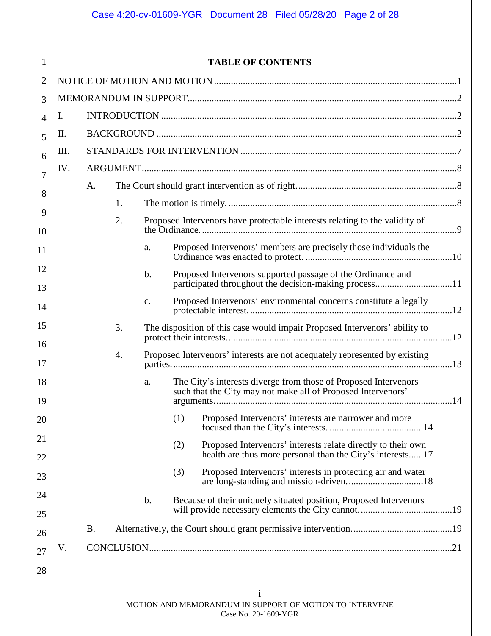|     |           |                | <b>TABLE OF CONTENTS</b>                                                                                                         |
|-----|-----------|----------------|----------------------------------------------------------------------------------------------------------------------------------|
|     |           |                |                                                                                                                                  |
|     |           |                |                                                                                                                                  |
| I.  |           |                |                                                                                                                                  |
| П.  |           |                |                                                                                                                                  |
| Ш.  |           |                |                                                                                                                                  |
| IV. |           |                |                                                                                                                                  |
|     | A.        |                |                                                                                                                                  |
|     | 1.        |                |                                                                                                                                  |
|     | 2.        |                | Proposed Intervenors have protectable interests relating to the validity of                                                      |
|     |           | a.             | Proposed Intervenors' members are precisely those individuals the                                                                |
|     |           | $\mathbf b$ .  | Proposed Intervenors supported passage of the Ordinance and<br>participated throughout the decision-making process11             |
|     |           | $\mathbf{c}$ . | Proposed Intervenors' environmental concerns constitute a legally                                                                |
|     | 3.        |                | The disposition of this case would impair Proposed Intervenors' ability to                                                       |
|     | 4.        |                | Proposed Intervenors' interests are not adequately represented by existing                                                       |
|     |           | a.             | The City's interests diverge from those of Proposed Intervenors<br>such that the City may not make all of Proposed Intervenors'  |
|     |           |                | Proposed Intervenors' interests are narrower and more<br>(1)                                                                     |
|     |           |                | Proposed Intervenors' interests relate directly to their own<br>(2)<br>health are thus more personal than the City's interests17 |
|     |           |                | (3)<br>Proposed Intervenors' interests in protecting air and water                                                               |
|     |           | $\mathbf b$ .  | Because of their uniquely situated position, Proposed Intervenors                                                                |
|     | <b>B.</b> |                |                                                                                                                                  |
| V.  |           |                |                                                                                                                                  |
|     |           |                |                                                                                                                                  |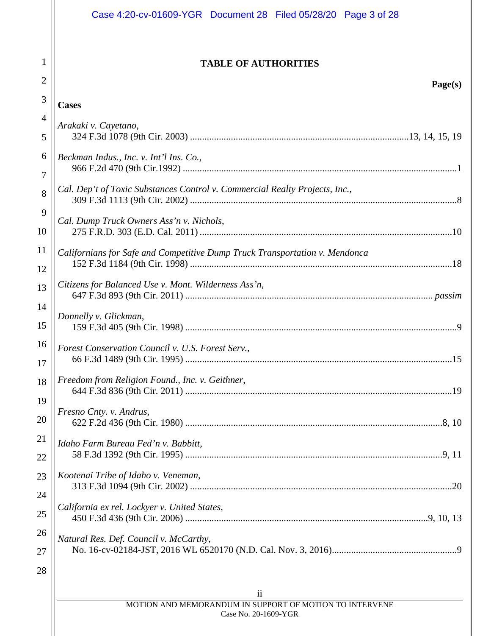|                     | Case 4:20-cv-01609-YGR Document 28 Filed 05/28/20 Page 3 of 28              |
|---------------------|-----------------------------------------------------------------------------|
| 1<br>$\overline{2}$ | <b>TABLE OF AUTHORITIES</b><br>Page(s)                                      |
| 3                   | <b>Cases</b>                                                                |
| $\overline{4}$      |                                                                             |
| 5                   | Arakaki v. Cayetano,                                                        |
| 6                   | Beckman Indus., Inc. v. Int'l Ins. Co.,                                     |
| 7                   |                                                                             |
| 8                   | Cal. Dep't of Toxic Substances Control v. Commercial Realty Projects, Inc., |
| 9<br>10             | Cal. Dump Truck Owners Ass'n v. Nichols,                                    |
| 11                  | Californians for Safe and Competitive Dump Truck Transportation v. Mendonca |
| 12                  |                                                                             |
| 13                  | Citizens for Balanced Use v. Mont. Wilderness Ass'n,                        |
| 14                  | Donnelly v. Glickman,                                                       |
| 15                  |                                                                             |
| 16                  | Forest Conservation Council v. U.S. Forest Serv.,                           |
| 17                  | 66 F.3d 1489 (9th Cir. 1995)<br>.15                                         |
| 18<br>19            | Freedom from Religion Found., Inc. v. Geithner,                             |
| 20                  | Fresno Cnty. v. Andrus,                                                     |
|                     |                                                                             |
| 21                  | Idaho Farm Bureau Fed'n v. Babbitt,                                         |
| 22                  |                                                                             |
| 23                  | Kootenai Tribe of Idaho v. Veneman,                                         |
| 24<br>25            | California ex rel. Lockyer v. United States,                                |
| 26                  |                                                                             |
| 27                  | Natural Res. Def. Council v. McCarthy,                                      |
| 28                  |                                                                             |
|                     | $\overline{\mathbf{u}}$                                                     |
|                     | MOTION AND MEMORANDUM IN SUPPORT OF MOTION TO INTERVENE                     |
|                     | Case No. 20-1609-YGR                                                        |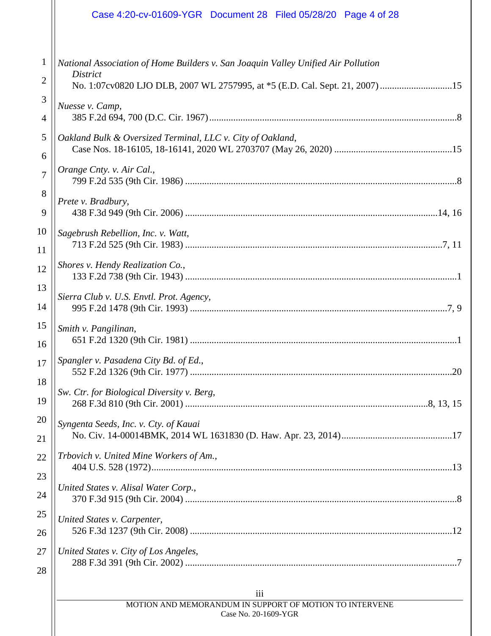|              | Case 4:20-cv-01609-YGR Document 28 Filed 05/28/20 Page 4 of 28                    |
|--------------|-----------------------------------------------------------------------------------|
| $\mathbf{1}$ | National Association of Home Builders v. San Joaquin Valley Unified Air Pollution |
| 2            | <b>District</b>                                                                   |
| 3            | Nuesse v. Camp,                                                                   |
| 4            |                                                                                   |
| 5            | Oakland Bulk & Oversized Terminal, LLC v. City of Oakland,                        |
| 6            |                                                                                   |
| 7            | Orange Cnty. v. Air Cal.,                                                         |
| 8            | Prete v. Bradbury,                                                                |
| 9            |                                                                                   |
| 10           | Sagebrush Rebellion, Inc. v. Watt,                                                |
| 11           |                                                                                   |
| 12           | Shores v. Hendy Realization Co.,                                                  |
| 13           | Sierra Club v. U.S. Envtl. Prot. Agency,                                          |
| 14           |                                                                                   |
| 15           | Smith v. Pangilinan,                                                              |
| 16           |                                                                                   |
| 17           | Spangler v. Pasadena City Bd. of Ed.,<br>20                                       |
| 18<br>19     | Sw. Ctr. for Biological Diversity v. Berg,                                        |
| 20           | Syngenta Seeds, Inc. v. Cty. of Kauai                                             |
| 21           |                                                                                   |
| 22           | Trbovich v. United Mine Workers of Am.,                                           |
| 23<br>24     | United States v. Alisal Water Corp.,                                              |
| 25           | United States v. Carpenter,                                                       |
| 26           |                                                                                   |
| 27           | United States v. City of Los Angeles,                                             |
| 28           |                                                                                   |
|              | iii                                                                               |
|              | MOTION AND MEMORANDUM IN SUPPORT OF MOTION TO INTERVENE<br>Case No. 20-1609-YGR   |

 $\mathbb{I}$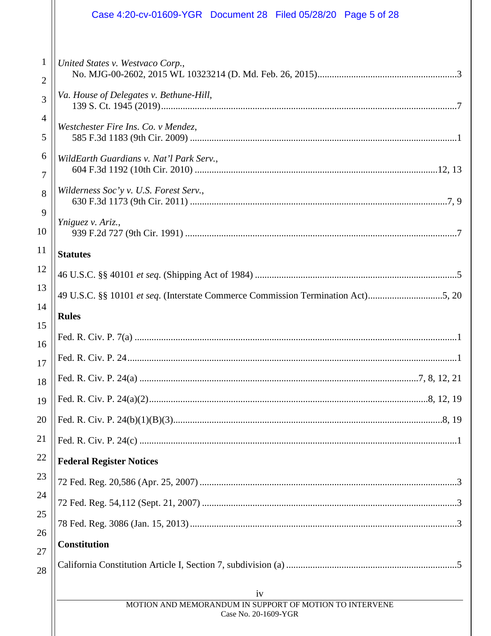|                                | Case 4:20-cv-01609-YGR Document 28 Filed 05/28/20 Page 5 of 28                   |  |
|--------------------------------|----------------------------------------------------------------------------------|--|
|                                |                                                                                  |  |
| $\mathbf{1}$<br>$\overline{2}$ | United States v. Westvaco Corp.,                                                 |  |
| 3                              | Va. House of Delegates v. Bethune-Hill,                                          |  |
| 4<br>5                         | Westchester Fire Ins. Co. v Mendez,                                              |  |
| 6                              | WildEarth Guardians v. Nat'l Park Serv.,                                         |  |
| $\overline{7}$<br>8            | Wilderness Soc'y v. U.S. Forest Serv.,                                           |  |
| 9                              |                                                                                  |  |
| 10                             | Yniguez v. Ariz.,                                                                |  |
| <sup>11</sup>                  | <b>Statutes</b>                                                                  |  |
| 12                             |                                                                                  |  |
| 13                             | 49 U.S.C. §§ 10101 et seq. (Interstate Commerce Commission Termination Act)5, 20 |  |
| 14                             | <b>Rules</b>                                                                     |  |
| 15<br>16                       |                                                                                  |  |
| 17                             |                                                                                  |  |
| 18                             |                                                                                  |  |
| 19                             |                                                                                  |  |
| 20                             |                                                                                  |  |
| 21                             |                                                                                  |  |
| 22                             | <b>Federal Register Notices</b>                                                  |  |
| 23                             |                                                                                  |  |
| 24                             |                                                                                  |  |
| 25<br>26                       |                                                                                  |  |
| 27                             | <b>Constitution</b>                                                              |  |
| 28                             |                                                                                  |  |
|                                | iv                                                                               |  |
|                                | MOTION AND MEMORANDUM IN SUPPORT OF MOTION TO INTERVENE<br>Case No. 20-1609-YGR  |  |
|                                |                                                                                  |  |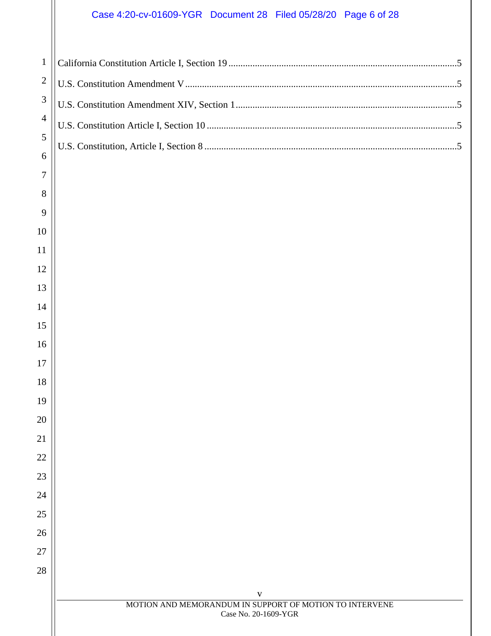# Case 4:20-cv-01609-YGR Document 28 Filed 05/28/20 Page 6 of 28

| $\mathbf{1}$   |  |
|----------------|--|
| $\overline{2}$ |  |
| 3              |  |
| $\overline{4}$ |  |
| 5              |  |
| 6              |  |
| 7              |  |
| 8              |  |
| 9              |  |
| 10             |  |
| 11             |  |
| 12             |  |
| 13             |  |
| 14             |  |
| 15             |  |
| 16             |  |
| 17             |  |
| 18             |  |
| 19             |  |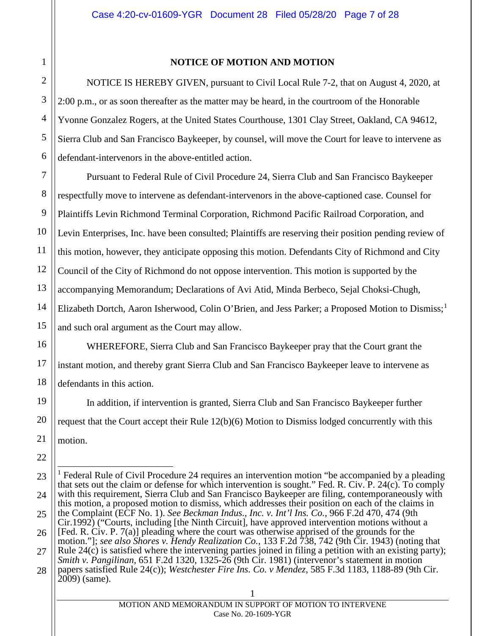## **NOTICE OF MOTION AND MOTION**

<span id="page-6-0"></span>NOTICE IS HEREBY GIVEN, pursuant to Civil Local Rule 7-2, that on August 4, 2020, at 2:00 p.m., or as soon thereafter as the matter may be heard, in the courtroom of the Honorable Yvonne Gonzalez Rogers, at the United States Courthouse, 1301 Clay Street, Oakland, CA 94612, Sierra Club and San Francisco Baykeeper, by counsel, will move the Court for leave to intervene as defendant-intervenors in the above-entitled action.

<span id="page-6-6"></span>Pursuant to Federal Rule of Civil Procedure 24, Sierra Club and San Francisco Baykeeper respectfully move to intervene as defendant-intervenors in the above-captioned case. Counsel for Plaintiffs Levin Richmond Terminal Corporation, Richmond Pacific Railroad Corporation, and Levin Enterprises, Inc. have been consulted; Plaintiffs are reserving their position pending review of this motion, however, they anticipate opposing this motion. Defendants City of Richmond and City Council of the City of Richmond do not oppose intervention. This motion is supported by the accompanying Memorandum; Declarations of Avi Atid, Minda Berbeco, Sejal Choksi-Chugh, Elizabeth Dortch, Aaron Isherwood, Colin O'Brien, and Jess Parker; a Proposed Motion to Dismiss;<sup>[1](#page-6-8)</sup> and such oral argument as the Court may allow.

WHEREFORE, Sierra Club and San Francisco Baykeeper pray that the Court grant the instant motion, and thereby grant Sierra Club and San Francisco Baykeeper leave to intervene as defendants in this action.

<span id="page-6-7"></span>In addition, if intervention is granted, Sierra Club and San Francisco Baykeeper further request that the Court accept their Rule 12(b)(6) Motion to Dismiss lodged concurrently with this motion.

<span id="page-6-8"></span><span id="page-6-5"></span><span id="page-6-4"></span><span id="page-6-3"></span><span id="page-6-2"></span><span id="page-6-1"></span><sup>1</sup> Federal Rule of Civil Procedure 24 requires an intervention motion "be accompanied by a pleading that sets out the claim or defense for which intervention is sought." Fed. R. Civ. P. 24(c). To comply with this requirement, Sierra Club and San Francisco Baykeeper are filing, contemporaneously with this motion, a proposed motion to dismiss, which addresses their position on each of the claims in the Complaint (ECF No. 1). *See Beckman Indus., Inc. v. Int'l Ins. Co.*, 966 F.2d 470, 474 (9th Cir.1992) ("Courts, including [the Ninth Circuit], have approved intervention motions without a [Fed. R. Civ. P. 7(a)] pleading where the court was otherwise apprised of the grounds for the motion."]; *see also Shores v. Hendy Realization Co.*, 133 F.2d 738, 742 (9th Cir. 1943) (noting that Rule  $24(c)$  is satisfied where the intervening parties joined in filing a petition with an existing party); *Smith v. Pangilinan*, 651 F.2d 1320, 1325-26 (9th Cir. 1981) (intervenor's statement in motion papers satisfied Rule 24(c)); *Westchester Fire Ins. Co. v Mendez*, 585 F.3d 1183, 1188-89 (9th Cir. 2009) (same).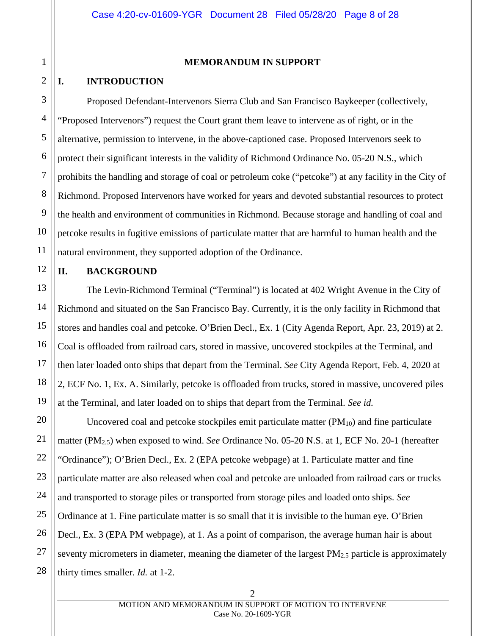#### **MEMORANDUM IN SUPPORT**

## <span id="page-7-1"></span><span id="page-7-0"></span>**I. INTRODUCTION**

Proposed Defendant-Intervenors Sierra Club and San Francisco Baykeeper (collectively, "Proposed Intervenors") request the Court grant them leave to intervene as of right, or in the alternative, permission to intervene, in the above-captioned case. Proposed Intervenors seek to protect their significant interests in the validity of Richmond Ordinance No. 05-20 N.S., which prohibits the handling and storage of coal or petroleum coke ("petcoke") at any facility in the City of Richmond. Proposed Intervenors have worked for years and devoted substantial resources to protect the health and environment of communities in Richmond. Because storage and handling of coal and petcoke results in fugitive emissions of particulate matter that are harmful to human health and the natural environment, they supported adoption of the Ordinance.

## <span id="page-7-2"></span>**II. BACKGROUND**

The Levin-Richmond Terminal ("Terminal") is located at 402 Wright Avenue in the City of Richmond and situated on the San Francisco Bay. Currently, it is the only facility in Richmond that stores and handles coal and petcoke. O'Brien Decl., Ex. 1 (City Agenda Report, Apr. 23, 2019) at 2. Coal is offloaded from railroad cars, stored in massive, uncovered stockpiles at the Terminal, and then later loaded onto ships that depart from the Terminal. *See* City Agenda Report, Feb. 4, 2020 at 2, ECF No. 1, Ex. A. Similarly, petcoke is offloaded from trucks, stored in massive, uncovered piles at the Terminal, and later loaded on to ships that depart from the Terminal. *See id.*

Uncovered coal and petcoke stockpiles emit particulate matter  $(PM_{10})$  and fine particulate matter (PM2.5) when exposed to wind. *See* Ordinance No. 05-20 N.S. at 1, ECF No. 20-1 (hereafter "Ordinance"); O'Brien Decl., Ex. 2 (EPA petcoke webpage) at 1. Particulate matter and fine particulate matter are also released when coal and petcoke are unloaded from railroad cars or trucks and transported to storage piles or transported from storage piles and loaded onto ships. *See*  Ordinance at 1*.* Fine particulate matter is so small that it is invisible to the human eye. O'Brien Decl., Ex. 3 (EPA PM webpage), at 1. As a point of comparison, the average human hair is about seventy micrometers in diameter, meaning the diameter of the largest  $PM_{2.5}$  particle is approximately thirty times smaller. *Id.* at 1-2.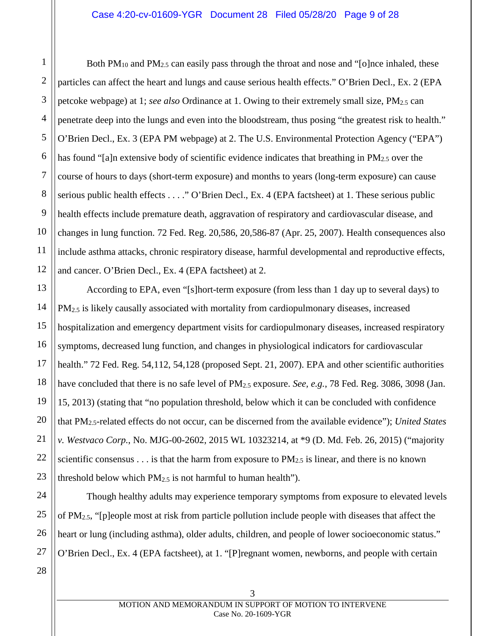#### Case 4:20-cv-01609-YGR Document 28 Filed 05/28/20 Page 9 of 28

Both PM<sub>10</sub> and PM<sub>2.5</sub> can easily pass through the throat and nose and "[o]nce inhaled, these particles can affect the heart and lungs and cause serious health effects." O'Brien Decl., Ex. 2 (EPA petcoke webpage) at 1; *see also* Ordinance at 1. Owing to their extremely small size, PM2.5 can penetrate deep into the lungs and even into the bloodstream, thus posing "the greatest risk to health." O'Brien Decl., Ex. 3 (EPA PM webpage) at 2. The U.S. Environmental Protection Agency ("EPA") has found "[a]n extensive body of scientific evidence indicates that breathing in PM<sub>2.5</sub> over the course of hours to days (short-term exposure) and months to years (long-term exposure) can cause serious public health effects . . . ." O'Brien Decl., Ex. 4 (EPA factsheet) at 1. These serious public health effects include premature death, aggravation of respiratory and cardiovascular disease, and changes in lung function. 72 Fed. Reg. 20,586, 20,586-87 (Apr. 25, 2007). Health consequences also include asthma attacks, chronic respiratory disease, harmful developmental and reproductive effects, and cancer. O'Brien Decl., Ex. 4 (EPA factsheet) at 2.

<span id="page-8-3"></span><span id="page-8-2"></span><span id="page-8-1"></span>According to EPA, even "[s]hort-term exposure (from less than 1 day up to several days) to PM<sub>2.5</sub> is likely causally associated with mortality from cardiopulmonary diseases, increased hospitalization and emergency department visits for cardiopulmonary diseases, increased respiratory symptoms, decreased lung function, and changes in physiological indicators for cardiovascular health." 72 Fed. Reg. 54,112, 54,128 (proposed Sept. 21, 2007). EPA and other scientific authorities have concluded that there is no safe level of PM2.5 exposure. *See, e.g.*, 78 Fed. Reg. 3086, 3098 (Jan. 15, 2013) (stating that "no population threshold, below which it can be concluded with confidence that PM2.5-related effects do not occur, can be discerned from the available evidence"); *United States v. Westvaco Corp.*, No. MJG-00-2602, 2015 WL 10323214, at \*9 (D. Md. Feb. 26, 2015) ("majority scientific consensus . . . is that the harm from exposure to  $PM_{2.5}$  is linear, and there is no known threshold below which  $PM_{2.5}$  is not harmful to human health").

<span id="page-8-0"></span>Though healthy adults may experience temporary symptoms from exposure to elevated levels of PM2.5, "[p]eople most at risk from particle pollution include people with diseases that affect the heart or lung (including asthma), older adults, children, and people of lower socioeconomic status." O'Brien Decl., Ex. 4 (EPA factsheet), at 1. "[P]regnant women, newborns, and people with certain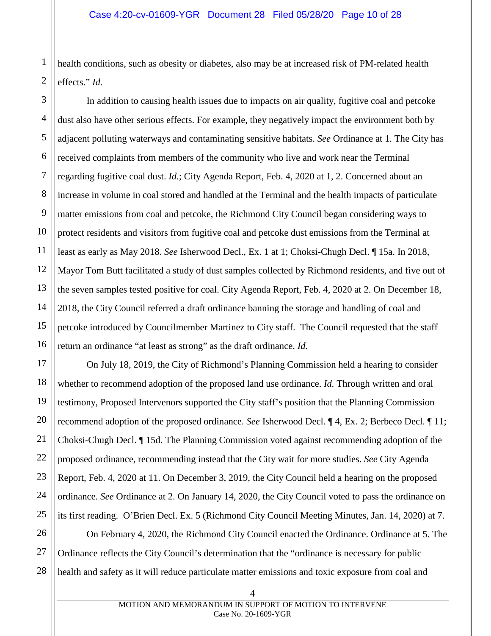health conditions, such as obesity or diabetes, also may be at increased risk of PM-related health effects." *Id.*

In addition to causing health issues due to impacts on air quality, fugitive coal and petcoke dust also have other serious effects. For example, they negatively impact the environment both by adjacent polluting waterways and contaminating sensitive habitats. *See* Ordinance at 1. The City has received complaints from members of the community who live and work near the Terminal regarding fugitive coal dust. *Id.*; City Agenda Report, Feb. 4, 2020 at 1, 2. Concerned about an increase in volume in coal stored and handled at the Terminal and the health impacts of particulate matter emissions from coal and petcoke, the Richmond City Council began considering ways to protect residents and visitors from fugitive coal and petcoke dust emissions from the Terminal at least as early as May 2018. *See* Isherwood Decl., Ex. 1 at 1; Choksi-Chugh Decl. ¶ 15a. In 2018, Mayor Tom Butt facilitated a study of dust samples collected by Richmond residents, and five out of the seven samples tested positive for coal. City Agenda Report, Feb. 4, 2020 at 2. On December 18, 2018, the City Council referred a draft ordinance banning the storage and handling of coal and petcoke introduced by Councilmember Martinez to City staff. The Council requested that the staff return an ordinance "at least as strong" as the draft ordinance. *Id.*

On July 18, 2019, the City of Richmond's Planning Commission held a hearing to consider whether to recommend adoption of the proposed land use ordinance. *Id.* Through written and oral testimony, Proposed Intervenors supported the City staff's position that the Planning Commission recommend adoption of the proposed ordinance. *See* Isherwood Decl. ¶ 4, Ex. 2; Berbeco Decl. ¶ 11; Choksi-Chugh Decl. ¶ 15d. The Planning Commission voted against recommending adoption of the proposed ordinance, recommending instead that the City wait for more studies. *See* City Agenda Report, Feb. 4, 2020 at 11. On December 3, 2019, the City Council held a hearing on the proposed ordinance. *See* Ordinance at 2. On January 14, 2020, the City Council voted to pass the ordinance on its first reading. O'Brien Decl. Ex. 5 (Richmond City Council Meeting Minutes, Jan. 14, 2020) at 7. On February 4, 2020, the Richmond City Council enacted the Ordinance. Ordinance at 5. The

Ordinance reflects the City Council's determination that the "ordinance is necessary for public health and safety as it will reduce particulate matter emissions and toxic exposure from coal and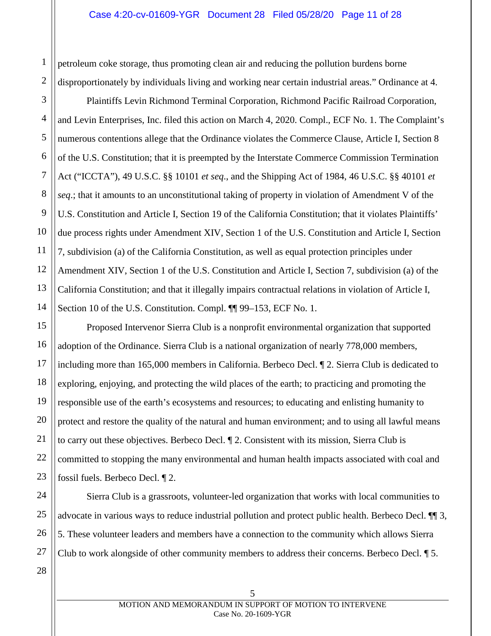petroleum coke storage, thus promoting clean air and reducing the pollution burdens borne disproportionately by individuals living and working near certain industrial areas." Ordinance at 4.

4 8 10 13 Plaintiffs Levin Richmond Terminal Corporation, Richmond Pacific Railroad Corporation, and Levin Enterprises, Inc. filed this action on March 4, 2020. Compl., ECF No. 1. The Complaint's numerous contentions allege that the Ordinance violates the Commerce Clause, Article I, Section 8 of the U.S. Constitution; that it is preempted by the Interstate Commerce Commission Termination Act ("ICCTA"), 49 U.S.C. §§ 10101 *et seq*., and the Shipping Act of 1984, 46 U.S.C. §§ 40101 *et seq*.; that it amounts to an unconstitutional taking of property in violation of Amendment V of the U.S. Constitution and Article I, Section 19 of the California Constitution; that it violates Plaintiffs' due process rights under Amendment XIV, Section 1 of the U.S. Constitution and Article I, Section 7, subdivision (a) of the California Constitution, as well as equal protection principles under Amendment XIV, Section 1 of the U.S. Constitution and Article I, Section 7, subdivision (a) of the California Constitution; and that it illegally impairs contractual relations in violation of Article I, Section 10 of the U.S. Constitution. Compl. ¶ 99–153, ECF No. 1.

<span id="page-10-6"></span>Proposed Intervenor Sierra Club is a nonprofit environmental organization that supported adoption of the Ordinance. Sierra Club is a national organization of nearly 778,000 members, including more than 165,000 members in California. Berbeco Decl. ¶ 2. Sierra Club is dedicated to exploring, enjoying, and protecting the wild places of the earth; to practicing and promoting the responsible use of the earth's ecosystems and resources; to educating and enlisting humanity to protect and restore the quality of the natural and human environment; and to using all lawful means to carry out these objectives. Berbeco Decl. ¶ 2. Consistent with its mission, Sierra Club is committed to stopping the many environmental and human health impacts associated with coal and fossil fuels. Berbeco Decl. ¶ 2.

24 26 Sierra Club is a grassroots, volunteer-led organization that works with local communities to advocate in various ways to reduce industrial pollution and protect public health. Berbeco Decl. ¶¶ 3, 5. These volunteer leaders and members have a connection to the community which allows Sierra Club to work alongside of other community members to address their concerns. Berbeco Decl. ¶ 5.

1

2

3

<span id="page-10-7"></span>5

<span id="page-10-1"></span>6

<span id="page-10-4"></span><span id="page-10-0"></span>7

<span id="page-10-5"></span><span id="page-10-3"></span><span id="page-10-2"></span>9

11

12

14

15

16

17

18

19

20

21

22

23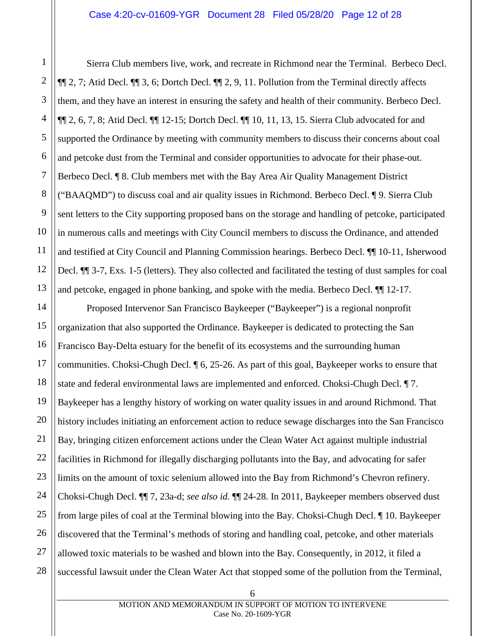1

2

3

4

5

6

7

8

9

10

11

12

13

Sierra Club members live, work, and recreate in Richmond near the Terminal. Berbeco Decl. ¶¶ 2, 7; Atid Decl. ¶¶ 3, 6; Dortch Decl. ¶¶ 2, 9, 11. Pollution from the Terminal directly affects them, and they have an interest in ensuring the safety and health of their community. Berbeco Decl. ¶¶ 2, 6, 7, 8; Atid Decl. ¶¶ 12-15; Dortch Decl. ¶¶ 10, 11, 13, 15. Sierra Club advocated for and supported the Ordinance by meeting with community members to discuss their concerns about coal and petcoke dust from the Terminal and consider opportunities to advocate for their phase-out. Berbeco Decl. ¶ 8. Club members met with the Bay Area Air Quality Management District ("BAAQMD") to discuss coal and air quality issues in Richmond. Berbeco Decl. ¶ 9. Sierra Club sent letters to the City supporting proposed bans on the storage and handling of petcoke, participated in numerous calls and meetings with City Council members to discuss the Ordinance, and attended and testified at City Council and Planning Commission hearings. Berbeco Decl. ¶¶ 10-11, Isherwood Decl. ¶¶ 3-7, Exs. 1-5 (letters). They also collected and facilitated the testing of dust samples for coal and petcoke, engaged in phone banking, and spoke with the media. Berbeco Decl. ¶¶ 12-17.

14 15 16 17 18 19 20 21 22 23 24 25 26 27 28 Proposed Intervenor San Francisco Baykeeper ("Baykeeper") is a regional nonprofit organization that also supported the Ordinance. Baykeeper is dedicated to protecting the San Francisco Bay-Delta estuary for the benefit of its ecosystems and the surrounding human communities. Choksi-Chugh Decl. ¶ 6, 25-26. As part of this goal, Baykeeper works to ensure that state and federal environmental laws are implemented and enforced. Choksi-Chugh Decl. ¶ 7. Baykeeper has a lengthy history of working on water quality issues in and around Richmond. That history includes initiating an enforcement action to reduce sewage discharges into the San Francisco Bay, bringing citizen enforcement actions under the Clean Water Act against multiple industrial facilities in Richmond for illegally discharging pollutants into the Bay, and advocating for safer limits on the amount of toxic selenium allowed into the Bay from Richmond's Chevron refinery. Choksi-Chugh Decl. ¶¶ 7, 23a-d; *see also id.* ¶¶ 24-28. In 2011, Baykeeper members observed dust from large piles of coal at the Terminal blowing into the Bay. Choksi-Chugh Decl. ¶ 10. Baykeeper discovered that the Terminal's methods of storing and handling coal, petcoke, and other materials allowed toxic materials to be washed and blown into the Bay. Consequently, in 2012, it filed a successful lawsuit under the Clean Water Act that stopped some of the pollution from the Terminal,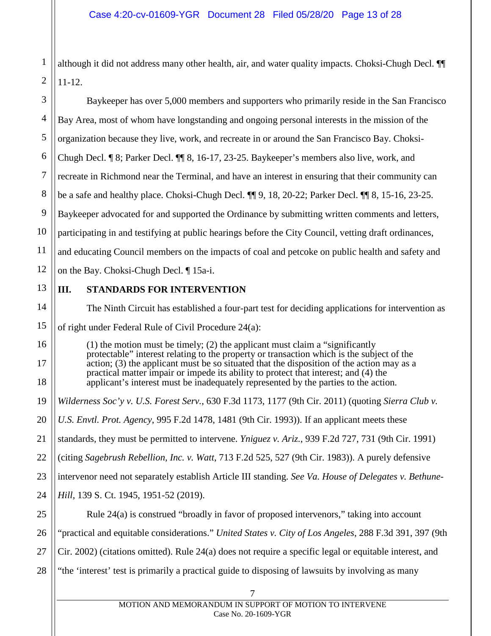1 although it did not address many other health, air, and water quality impacts. Choksi-Chugh Decl. ¶¶ 11-12.

<span id="page-12-5"></span><span id="page-12-4"></span><span id="page-12-3"></span><span id="page-12-2"></span><span id="page-12-1"></span><span id="page-12-0"></span>7 3 4 5 6 7 8 9 10 11 12 13 14 15 16 17 18 19 20 21 22 23 24 25 26 27 28 Baykeeper has over 5,000 members and supporters who primarily reside in the San Francisco Bay Area, most of whom have longstanding and ongoing personal interests in the mission of the organization because they live, work, and recreate in or around the San Francisco Bay. Choksi-Chugh Decl. ¶ 8; Parker Decl. ¶¶ 8, 16-17, 23-25. Baykeeper's members also live, work, and recreate in Richmond near the Terminal, and have an interest in ensuring that their community can be a safe and healthy place. Choksi-Chugh Decl. ¶¶ 9, 18, 20-22; Parker Decl. ¶¶ 8, 15-16, 23-25. Baykeeper advocated for and supported the Ordinance by submitting written comments and letters, participating in and testifying at public hearings before the City Council, vetting draft ordinances, and educating Council members on the impacts of coal and petcoke on public health and safety and on the Bay. Choksi-Chugh Decl. ¶ 15a-i. **III. STANDARDS FOR INTERVENTION** The Ninth Circuit has established a four-part test for deciding applications for intervention as of right under Federal Rule of Civil Procedure 24(a): (1) the motion must be timely; (2) the applicant must claim a "significantly protectable" interest relating to the property or transaction which is the subject of the action; (3) the applicant must be so situated that the disposition of the action may as a practical matter impair or impede its ability to protect that interest; and (4) the applicant's interest must be inadequately represented by the parties to the action. *Wilderness Soc'y v. U.S. Forest Serv.*, 630 F.3d 1173, 1177 (9th Cir. 2011) (quoting *Sierra Club v. U.S. Envtl. Prot. Agency*, 995 F.2d 1478, 1481 (9th Cir. 1993)). If an applicant meets these standards, they must be permitted to intervene. *Yniguez v. Ariz.*, 939 F.2d 727, 731 (9th Cir. 1991) (citing *Sagebrush Rebellion, Inc. v. Watt*, 713 F.2d 525, 527 (9th Cir. 1983)). A purely defensive intervenor need not separately establish Article III standing. *See Va. House of Delegates v. Bethune-Hill*, 139 S. Ct. 1945, 1951-52 (2019). Rule 24(a) is construed "broadly in favor of proposed intervenors," taking into account "practical and equitable considerations." *United States v. City of Los Angeles*, 288 F.3d 391, 397 (9th Cir. 2002) (citations omitted). Rule 24(a) does not require a specific legal or equitable interest, and "the 'interest' test is primarily a practical guide to disposing of lawsuits by involving as many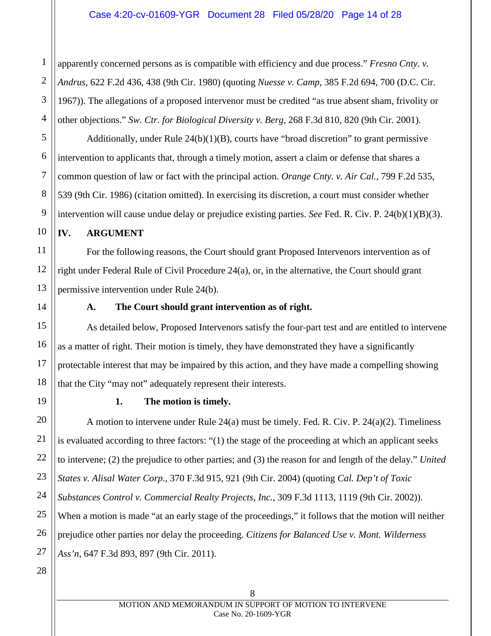<span id="page-13-4"></span>apparently concerned persons as is compatible with efficiency and due process." *Fresno Cnty. v. Andrus*, 622 F.2d 436, 438 (9th Cir. 1980) (quoting *Nuesse v. Camp*, 385 F.2d 694, 700 (D.C. Cir. 1967)). The allegations of a proposed intervenor must be credited "as true absent sham, frivolity or other objections." *Sw. Ctr. for Biological Diversity v. Berg,* 268 F.3d 810, 820 (9th Cir. 2001).

<span id="page-13-6"></span><span id="page-13-5"></span>Additionally, under Rule  $24(b)(1)(B)$ , courts have "broad discretion" to grant permissive intervention to applicants that, through a timely motion, assert a claim or defense that shares a common question of law or fact with the principal action. *Orange Cnty. v. Air Cal.*, 799 F.2d 535, 539 (9th Cir. 1986) (citation omitted). In exercising its discretion, a court must consider whether intervention will cause undue delay or prejudice existing parties. *See* Fed. R. Civ. P. 24(b)(1)(B)(3).

## <span id="page-13-0"></span>**IV. ARGUMENT**

For the following reasons, the Court should grant Proposed Intervenors intervention as of right under Federal Rule of Civil Procedure 24(a), or, in the alternative, the Court should grant permissive intervention under Rule 24(b).

<span id="page-13-1"></span>

1

2

3

4

5

6

7

8

9

10

11

12

13

14

15

16

17

18

<span id="page-13-2"></span>19

20

21

22

23

24

25

26

27

## <span id="page-13-10"></span><span id="page-13-8"></span>**A. The Court should grant intervention as of right.**

As detailed below, Proposed Intervenors satisfy the four-part test and are entitled to intervene as a matter of right. Their motion is timely, they have demonstrated they have a significantly protectable interest that may be impaired by this action, and they have made a compelling showing that the City "may not" adequately represent their interests.

## <span id="page-13-9"></span><span id="page-13-7"></span><span id="page-13-3"></span>**1. The motion is timely.**

A motion to intervene under Rule  $24(a)$  must be timely. Fed. R. Civ. P.  $24(a)(2)$ . Timeliness is evaluated according to three factors: "(1) the stage of the proceeding at which an applicant seeks to intervene; (2) the prejudice to other parties; and (3) the reason for and length of the delay." *United States v. Alisal Water Corp.*, 370 F.3d 915, 921 (9th Cir. 2004) (quoting *Cal. Dep't of Toxic Substances Control v. Commercial Realty Projects, Inc.*, 309 F.3d 1113, 1119 (9th Cir. 2002)). When a motion is made "at an early stage of the proceedings," it follows that the motion will neither prejudice other parties nor delay the proceeding. *Citizens for Balanced Use v. Mont. Wilderness Ass'n*, 647 F.3d 893, 897 (9th Cir. 2011).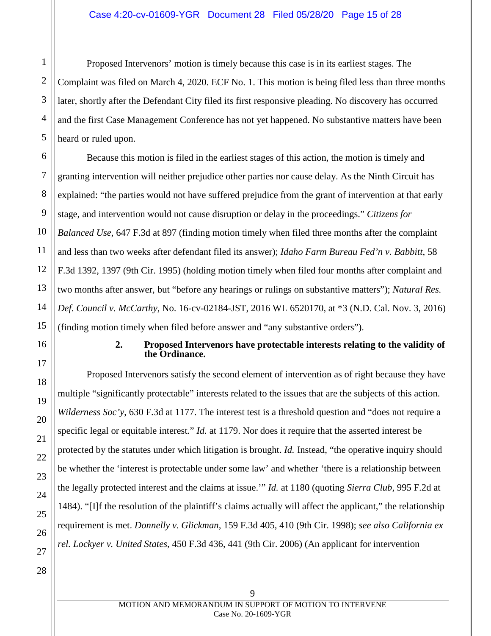## Case 4:20-cv-01609-YGR Document 28 Filed 05/28/20 Page 15 of 28

Proposed Intervenors' motion is timely because this case is in its earliest stages. The Complaint was filed on March 4, 2020. ECF No. 1. This motion is being filed less than three months later, shortly after the Defendant City filed its first responsive pleading. No discovery has occurred and the first Case Management Conference has not yet happened. No substantive matters have been heard or ruled upon.

Because this motion is filed in the earliest stages of this action, the motion is timely and granting intervention will neither prejudice other parties nor cause delay. As the Ninth Circuit has explained: "the parties would not have suffered prejudice from the grant of intervention at that early stage, and intervention would not cause disruption or delay in the proceedings." *Citizens for Balanced Use*, 647 F.3d at 897 (finding motion timely when filed three months after the complaint and less than two weeks after defendant filed its answer); *Idaho Farm Bureau Fed'n v. Babbitt*, 58 F.3d 1392, 1397 (9th Cir. 1995) (holding motion timely when filed four months after complaint and two months after answer, but "before any hearings or rulings on substantive matters"); *Natural Res. Def. Council v. McCarthy*, No. 16-cv-02184-JST, 2016 WL 6520170, at \*3 (N.D. Cal. Nov. 3, 2016) (finding motion timely when filed before answer and "any substantive orders").

#### <span id="page-14-4"></span><span id="page-14-3"></span><span id="page-14-2"></span>**2. Proposed Intervenors have protectable interests relating to the validity of the Ordinance.**

<span id="page-14-5"></span><span id="page-14-1"></span><span id="page-14-0"></span>Proposed Intervenors satisfy the second element of intervention as of right because they have multiple "significantly protectable" interests related to the issues that are the subjects of this action. *Wilderness Soc'y*, 630 F.3d at 1177. The interest test is a threshold question and "does not require a specific legal or equitable interest." *Id.* at 1179. Nor does it require that the asserted interest be protected by the statutes under which litigation is brought. *Id.* Instead, "the operative inquiry should be whether the 'interest is protectable under some law' and whether 'there is a relationship between the legally protected interest and the claims at issue.'" *Id.* at 1180 (quoting *Sierra Club*, 995 F.2d at 1484). "[I]f the resolution of the plaintiff's claims actually will affect the applicant," the relationship requirement is met. *Donnelly v. Glickman*, 159 F.3d 405, 410 (9th Cir. 1998); *see also California ex rel. Lockyer v. United States*, 450 F.3d 436, 441 (9th Cir. 2006) (An applicant for intervention

1

2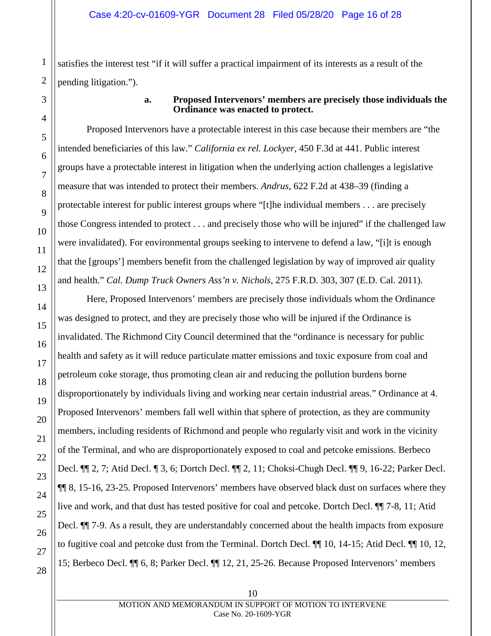satisfies the interest test "if it will suffer a practical impairment of its interests as a result of the pending litigation.").

<span id="page-15-0"></span>

## <span id="page-15-3"></span><span id="page-15-2"></span>**a. Proposed Intervenors' members are precisely those individuals the Ordinance was enacted to protect.**

Proposed Intervenors have a protectable interest in this case because their members are "the intended beneficiaries of this law." *California ex rel. Lockyer*, 450 F.3d at 441. Public interest groups have a protectable interest in litigation when the underlying action challenges a legislative measure that was intended to protect their members. *Andrus*, 622 F.2d at 438–39 (finding a protectable interest for public interest groups where "[t]he individual members . . . are precisely those Congress intended to protect . . . and precisely those who will be injured" if the challenged law were invalidated). For environmental groups seeking to intervene to defend a law, "[i]t is enough that the [groups'] members benefit from the challenged legislation by way of improved air quality and health." *Cal. Dump Truck Owners Ass'n v. Nichols*, 275 F.R.D. 303, 307 (E.D. Cal. 2011).

<span id="page-15-1"></span>Here, Proposed Intervenors' members are precisely those individuals whom the Ordinance was designed to protect, and they are precisely those who will be injured if the Ordinance is invalidated. The Richmond City Council determined that the "ordinance is necessary for public health and safety as it will reduce particulate matter emissions and toxic exposure from coal and petroleum coke storage, thus promoting clean air and reducing the pollution burdens borne disproportionately by individuals living and working near certain industrial areas." Ordinance at 4. Proposed Intervenors' members fall well within that sphere of protection, as they are community members, including residents of Richmond and people who regularly visit and work in the vicinity of the Terminal, and who are disproportionately exposed to coal and petcoke emissions. Berbeco Decl. ¶¶ 2, 7; Atid Decl. ¶ 3, 6; Dortch Decl. ¶¶ 2, 11; Choksi-Chugh Decl. ¶¶ 9, 16-22; Parker Decl. ¶¶ 8, 15-16, 23-25. Proposed Intervenors' members have observed black dust on surfaces where they live and work, and that dust has tested positive for coal and petcoke. Dortch Decl. ¶¶ 7-8, 11; Atid Decl.  $\P$  7-9. As a result, they are understandably concerned about the health impacts from exposure to fugitive coal and petcoke dust from the Terminal. Dortch Decl. ¶¶ 10, 14-15; Atid Decl. ¶¶ 10, 12, 15; Berbeco Decl. ¶¶ 6, 8; Parker Decl. ¶¶ 12, 21, 25-26. Because Proposed Intervenors' members

MOTION AND MEMORANDUM IN SUPPORT OF MOTION TO INTERVENE Case No. 20-1609-YGR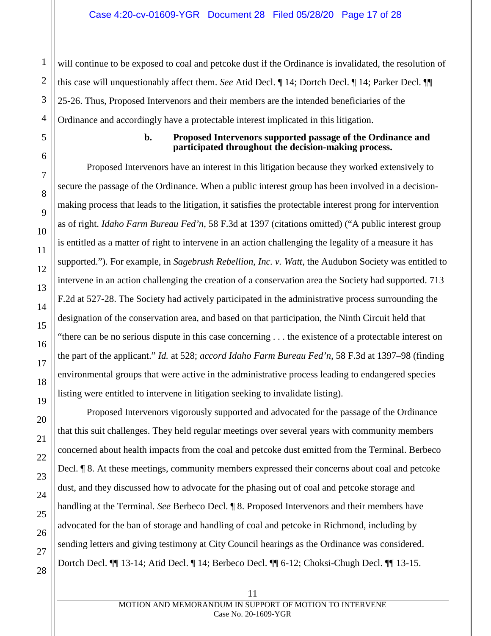will continue to be exposed to coal and petcoke dust if the Ordinance is invalidated, the resolution of this case will unquestionably affect them. *See* Atid Decl. ¶ 14; Dortch Decl. ¶ 14; Parker Decl. ¶¶ 25-26. Thus, Proposed Intervenors and their members are the intended beneficiaries of the Ordinance and accordingly have a protectable interest implicated in this litigation.

<span id="page-16-0"></span>

1

2

3

4

5

6

#### <span id="page-16-2"></span>**b. Proposed Intervenors supported passage of the Ordinance and participated throughout the decision-making process.**

<span id="page-16-1"></span>Proposed Intervenors have an interest in this litigation because they worked extensively to secure the passage of the Ordinance. When a public interest group has been involved in a decisionmaking process that leads to the litigation, it satisfies the protectable interest prong for intervention as of right. *Idaho Farm Bureau Fed'n*, 58 F.3d at 1397 (citations omitted) ("A public interest group is entitled as a matter of right to intervene in an action challenging the legality of a measure it has supported."). For example, in *Sagebrush Rebellion, Inc. v. Watt*, the Audubon Society was entitled to intervene in an action challenging the creation of a conservation area the Society had supported. 713 F.2d at 527-28. The Society had actively participated in the administrative process surrounding the designation of the conservation area, and based on that participation, the Ninth Circuit held that "there can be no serious dispute in this case concerning . . . the existence of a protectable interest on the part of the applicant." *Id.* at 528; *accord Idaho Farm Bureau Fed'n*, 58 F.3d at 1397–98 (finding environmental groups that were active in the administrative process leading to endangered species listing were entitled to intervene in litigation seeking to invalidate listing).

Proposed Intervenors vigorously supported and advocated for the passage of the Ordinance that this suit challenges. They held regular meetings over several years with community members concerned about health impacts from the coal and petcoke dust emitted from the Terminal. Berbeco Decl. ¶ 8. At these meetings, community members expressed their concerns about coal and petcoke dust, and they discussed how to advocate for the phasing out of coal and petcoke storage and handling at the Terminal. *See* Berbeco Decl. ¶ 8. Proposed Intervenors and their members have advocated for the ban of storage and handling of coal and petcoke in Richmond, including by sending letters and giving testimony at City Council hearings as the Ordinance was considered. Dortch Decl. ¶¶ 13-14; Atid Decl. ¶ 14; Berbeco Decl. ¶¶ 6-12; Choksi-Chugh Decl. ¶¶ 13-15.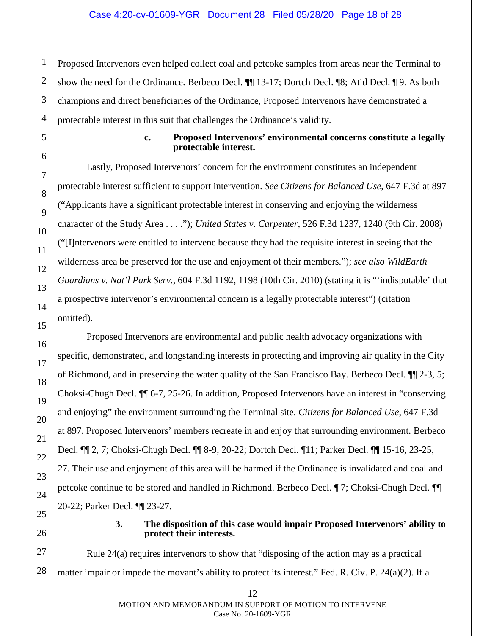Proposed Intervenors even helped collect coal and petcoke samples from areas near the Terminal to show the need for the Ordinance. Berbeco Decl. ¶¶ 13-17; Dortch Decl. ¶8; Atid Decl. ¶ 9. As both champions and direct beneficiaries of the Ordinance, Proposed Intervenors have demonstrated a protectable interest in this suit that challenges the Ordinance's validity.

#### <span id="page-17-3"></span><span id="page-17-2"></span>**c. Proposed Intervenors' environmental concerns constitute a legally protectable interest.**

<span id="page-17-0"></span>Lastly, Proposed Intervenors' concern for the environment constitutes an independent protectable interest sufficient to support intervention. *See Citizens for Balanced Use*, 647 F.3d at 897 ("Applicants have a significant protectable interest in conserving and enjoying the wilderness character of the Study Area . . . ."); *United States v. Carpenter*, 526 F.3d 1237, 1240 (9th Cir. 2008) ("[I]ntervenors were entitled to intervene because they had the requisite interest in seeing that the wilderness area be preserved for the use and enjoyment of their members."); *see also WildEarth Guardians v. Nat'l Park Serv.*, 604 F.3d 1192, 1198 (10th Cir. 2010) (stating it is "'indisputable' that a prospective intervenor's environmental concern is a legally protectable interest") (citation omitted).

Proposed Intervenors are environmental and public health advocacy organizations with specific, demonstrated, and longstanding interests in protecting and improving air quality in the City of Richmond, and in preserving the water quality of the San Francisco Bay. Berbeco Decl. ¶¶ 2-3, 5; Choksi-Chugh Decl. ¶¶ 6-7, 25-26. In addition, Proposed Intervenors have an interest in "conserving and enjoying" the environment surrounding the Terminal site. *Citizens for Balanced Use*, 647 F.3d at 897. Proposed Intervenors' members recreate in and enjoy that surrounding environment. Berbeco Decl. ¶¶ 2, 7; Choksi-Chugh Decl. ¶¶ 8-9, 20-22; Dortch Decl. ¶11; Parker Decl. ¶¶ 15-16, 23-25, 27. Their use and enjoyment of this area will be harmed if the Ordinance is invalidated and coal and petcoke continue to be stored and handled in Richmond. Berbeco Decl. ¶ 7; Choksi-Chugh Decl. ¶¶ 20-22; Parker Decl. ¶¶ 23-27.

## <span id="page-17-5"></span><span id="page-17-4"></span>**3. The disposition of this case would impair Proposed Intervenors' ability to protect their interests.**

<span id="page-17-1"></span>Rule 24(a) requires intervenors to show that "disposing of the action may as a practical matter impair or impede the movant's ability to protect its interest." Fed. R. Civ. P. 24(a)(2). If a

1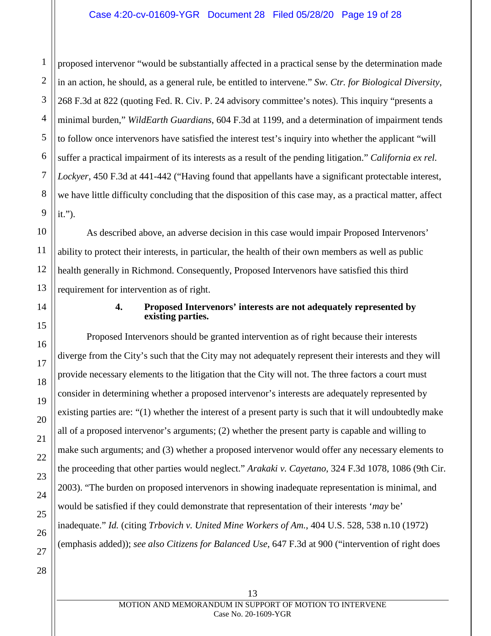<span id="page-18-4"></span><span id="page-18-3"></span>2 proposed intervenor "would be substantially affected in a practical sense by the determination made in an action, he should, as a general rule, be entitled to intervene." *Sw. Ctr. for Biological Diversity*, 268 F.3d at 822 (quoting Fed. R. Civ. P. 24 advisory committee's notes). This inquiry "presents a minimal burden," *WildEarth Guardians*, 604 F.3d at 1199, and a determination of impairment tends to follow once intervenors have satisfied the interest test's inquiry into whether the applicant "will suffer a practical impairment of its interests as a result of the pending litigation." *California ex rel. Lockyer*, 450 F.3d at 441-442 ("Having found that appellants have a significant protectable interest, we have little difficulty concluding that the disposition of this case may, as a practical matter, affect it.").

As described above, an adverse decision in this case would impair Proposed Intervenors' ability to protect their interests, in particular, the health of their own members as well as public health generally in Richmond. Consequently, Proposed Intervenors have satisfied this third requirement for intervention as of right.

## <span id="page-18-2"></span><span id="page-18-1"></span>**4. Proposed Intervenors' interests are not adequately represented by existing parties.**

<span id="page-18-0"></span>Proposed Intervenors should be granted intervention as of right because their interests diverge from the City's such that the City may not adequately represent their interests and they will provide necessary elements to the litigation that the City will not. The three factors a court must consider in determining whether a proposed intervenor's interests are adequately represented by existing parties are: "(1) whether the interest of a present party is such that it will undoubtedly make all of a proposed intervenor's arguments; (2) whether the present party is capable and willing to make such arguments; and (3) whether a proposed intervenor would offer any necessary elements to the proceeding that other parties would neglect." *Arakaki v. Cayetano*, 324 F.3d 1078, 1086 (9th Cir. 2003). "The burden on proposed intervenors in showing inadequate representation is minimal, and would be satisfied if they could demonstrate that representation of their interests '*may* be' inadequate." *Id.* (citing *Trbovich v. United Mine Workers of Am.*, 404 U.S. 528, 538 n.10 (1972) (emphasis added)); *see also Citizens for Balanced Use*, 647 F.3d at 900 ("intervention of right does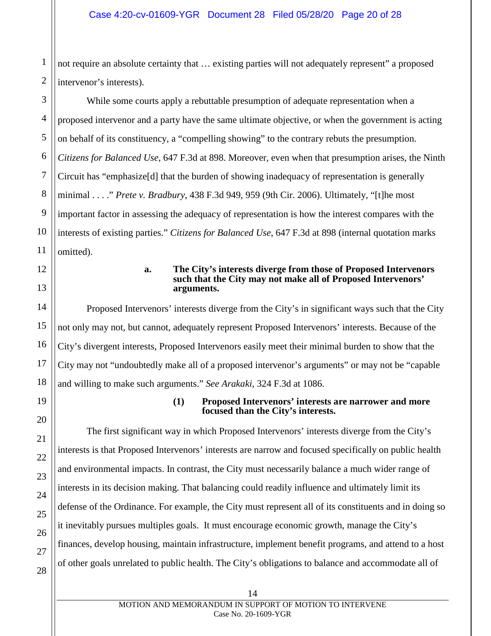not require an absolute certainty that … existing parties will not adequately represent" a proposed intervenor's interests).

3 4 5 6 7 8 9 10 11 While some courts apply a rebuttable presumption of adequate representation when a proposed intervenor and a party have the same ultimate objective, or when the government is acting on behalf of its constituency, a "compelling showing" to the contrary rebuts the presumption. *Citizens for Balanced Use*, 647 F.3d at 898. Moreover, even when that presumption arises, the Ninth Circuit has "emphasize[d] that the burden of showing inadequacy of representation is generally minimal . . . ." *Prete v. Bradbury*, 438 F.3d 949, 959 (9th Cir. 2006). Ultimately, "[t]he most important factor in assessing the adequacy of representation is how the interest compares with the interests of existing parties." *Citizens for Balanced Use*, 647 F.3d at 898 (internal quotation marks omitted).

<span id="page-19-0"></span>12 13

14

15

16

17

18

<span id="page-19-1"></span>19

20

21

22

23

24

25

1

2

#### <span id="page-19-3"></span>**a. The City's interests diverge from those of Proposed Intervenors such that the City may not make all of Proposed Intervenors' arguments.**

Proposed Intervenors' interests diverge from the City's in significant ways such that the City not only may not, but cannot, adequately represent Proposed Intervenors' interests. Because of the City's divergent interests, Proposed Intervenors easily meet their minimal burden to show that the City may not "undoubtedly make all of a proposed intervenor's arguments" or may not be "capable and willing to make such arguments." *See Arakaki*, 324 F.3d at 1086.

#### <span id="page-19-2"></span>**(1) Proposed Intervenors' interests are narrower and more focused than the City's interests.**

The first significant way in which Proposed Intervenors' interests diverge from the City's interests is that Proposed Intervenors' interests are narrow and focused specifically on public health and environmental impacts. In contrast, the City must necessarily balance a much wider range of interests in its decision making. That balancing could readily influence and ultimately limit its defense of the Ordinance. For example, the City must represent all of its constituents and in doing so it inevitably pursues multiples goals. It must encourage economic growth, manage the City's finances, develop housing, maintain infrastructure, implement benefit programs, and attend to a host of other goals unrelated to public health. The City's obligations to balance and accommodate all of

26 27 28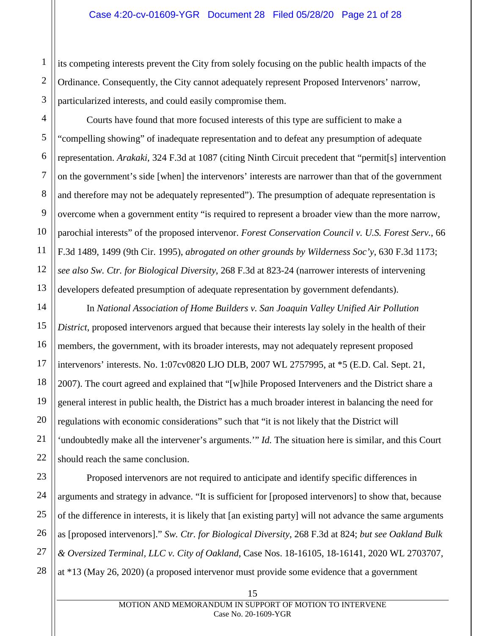its competing interests prevent the City from solely focusing on the public health impacts of the Ordinance. Consequently, the City cannot adequately represent Proposed Intervenors' narrow, particularized interests, and could easily compromise them.

<span id="page-20-0"></span>Courts have found that more focused interests of this type are sufficient to make a "compelling showing" of inadequate representation and to defeat any presumption of adequate representation. *Arakaki*, 324 F.3d at 1087 (citing Ninth Circuit precedent that "permit[s] intervention on the government's side [when] the intervenors' interests are narrower than that of the government and therefore may not be adequately represented"). The presumption of adequate representation is overcome when a government entity "is required to represent a broader view than the more narrow, parochial interests" of the proposed intervenor. *Forest Conservation Council v. U.S. Forest Serv.*, 66 F.3d 1489, 1499 (9th Cir. 1995), *abrogated on other grounds by Wilderness Soc'y*, 630 F.3d 1173; *see also Sw. Ctr. for Biological Diversity*, 268 F.3d at 823-24 (narrower interests of intervening developers defeated presumption of adequate representation by government defendants).

<span id="page-20-4"></span><span id="page-20-2"></span><span id="page-20-1"></span>In *National Association of Home Builders v. San Joaquin Valley Unified Air Pollution District*, proposed intervenors argued that because their interests lay solely in the health of their members, the government, with its broader interests, may not adequately represent proposed intervenors' interests. No. 1:07cv0820 LJO DLB, 2007 WL 2757995, at \*5 (E.D. Cal. Sept. 21, 2007). The court agreed and explained that "[w]hile Proposed Interveners and the District share a general interest in public health, the District has a much broader interest in balancing the need for regulations with economic considerations" such that "it is not likely that the District will 'undoubtedly make all the intervener's arguments.'" *Id.* The situation here is similar, and this Court should reach the same conclusion.

<span id="page-20-3"></span>Proposed intervenors are not required to anticipate and identify specific differences in arguments and strategy in advance. "It is sufficient for [proposed intervenors] to show that, because of the difference in interests, it is likely that [an existing party] will not advance the same arguments as [proposed intervenors]." *Sw. Ctr. for Biological Diversity*, 268 F.3d at 824; *but see Oakland Bulk & Oversized Terminal, LLC v. City of Oakland*, Case Nos. 18-16105, 18-16141, 2020 WL 2703707, at \*13 (May 26, 2020) (a proposed intervenor must provide some evidence that a government

1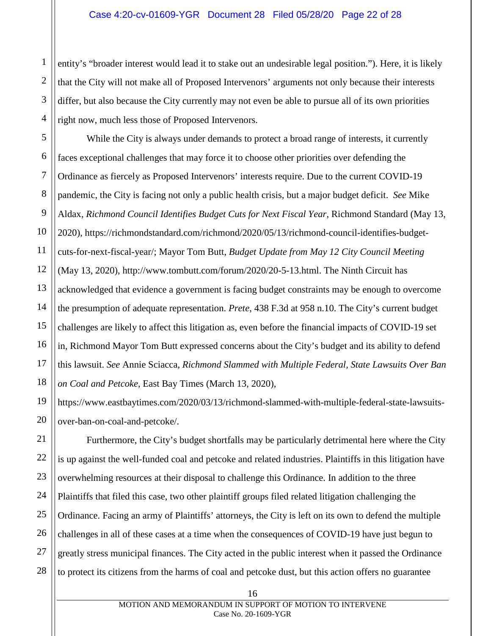entity's "broader interest would lead it to stake out an undesirable legal position."). Here, it is likely that the City will not make all of Proposed Intervenors' arguments not only because their interests differ, but also because the City currently may not even be able to pursue all of its own priorities right now, much less those of Proposed Intervenors.

While the City is always under demands to protect a broad range of interests, it currently faces exceptional challenges that may force it to choose other priorities over defending the Ordinance as fiercely as Proposed Intervenors' interests require. Due to the current COVID-19 pandemic, the City is facing not only a public health crisis, but a major budget deficit. *See* Mike Aldax, *Richmond Council Identifies Budget Cuts for Next Fiscal Year*, Richmond Standard (May 13, 2020), https://richmondstandard.com/richmond/2020/05/13/richmond-council-identifies-budgetcuts-for-next-fiscal-year/; Mayor Tom Butt, *Budget Update from May 12 City Council Meeting* (May 13, 2020), http://www.tombutt.com/forum/2020/20-5-13.html. The Ninth Circuit has acknowledged that evidence a government is facing budget constraints may be enough to overcome the presumption of adequate representation. *Prete*, 438 F.3d at 958 n.10. The City's current budget challenges are likely to affect this litigation as, even before the financial impacts of COVID-19 set in, Richmond Mayor Tom Butt expressed concerns about the City's budget and its ability to defend this lawsuit. *See* Annie Sciacca, *Richmond Slammed with Multiple Federal, State Lawsuits Over Ban on Coal and Petcoke*, East Bay Times (March 13, 2020),

<span id="page-21-0"></span>https://www.eastbaytimes.com/2020/03/13/richmond-slammed-with-multiple-federal-state-lawsuitsover-ban-on-coal-and-petcoke/.

Furthermore, the City's budget shortfalls may be particularly detrimental here where the City is up against the well-funded coal and petcoke and related industries. Plaintiffs in this litigation have overwhelming resources at their disposal to challenge this Ordinance. In addition to the three Plaintiffs that filed this case, two other plaintiff groups filed related litigation challenging the Ordinance. Facing an army of Plaintiffs' attorneys, the City is left on its own to defend the multiple challenges in all of these cases at a time when the consequences of COVID-19 have just begun to greatly stress municipal finances. The City acted in the public interest when it passed the Ordinance to protect its citizens from the harms of coal and petcoke dust, but this action offers no guarantee

1

2

3

4

5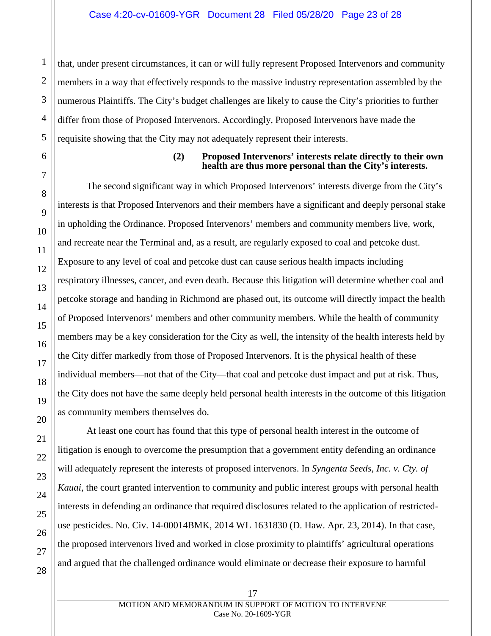that, under present circumstances, it can or will fully represent Proposed Intervenors and community members in a way that effectively responds to the massive industry representation assembled by the numerous Plaintiffs. The City's budget challenges are likely to cause the City's priorities to further differ from those of Proposed Intervenors. Accordingly, Proposed Intervenors have made the requisite showing that the City may not adequately represent their interests.

<span id="page-22-0"></span>

1

2

3

### **(2) Proposed Intervenors' interests relate directly to their own health are thus more personal than the City's interests.**

The second significant way in which Proposed Intervenors' interests diverge from the City's interests is that Proposed Intervenors and their members have a significant and deeply personal stake in upholding the Ordinance. Proposed Intervenors' members and community members live, work, and recreate near the Terminal and, as a result, are regularly exposed to coal and petcoke dust. Exposure to any level of coal and petcoke dust can cause serious health impacts including respiratory illnesses, cancer, and even death. Because this litigation will determine whether coal and petcoke storage and handing in Richmond are phased out, its outcome will directly impact the health of Proposed Intervenors' members and other community members. While the health of community members may be a key consideration for the City as well, the intensity of the health interests held by the City differ markedly from those of Proposed Intervenors. It is the physical health of these individual members—not that of the City—that coal and petcoke dust impact and put at risk. Thus, the City does not have the same deeply held personal health interests in the outcome of this litigation as community members themselves do.

<span id="page-22-1"></span>At least one court has found that this type of personal health interest in the outcome of litigation is enough to overcome the presumption that a government entity defending an ordinance will adequately represent the interests of proposed intervenors. In *Syngenta Seeds, Inc. v. Cty. of Kauai*, the court granted intervention to community and public interest groups with personal health interests in defending an ordinance that required disclosures related to the application of restricteduse pesticides. No. Civ. 14-00014BMK, 2014 WL 1631830 (D. Haw. Apr. 23, 2014). In that case, the proposed intervenors lived and worked in close proximity to plaintiffs' agricultural operations and argued that the challenged ordinance would eliminate or decrease their exposure to harmful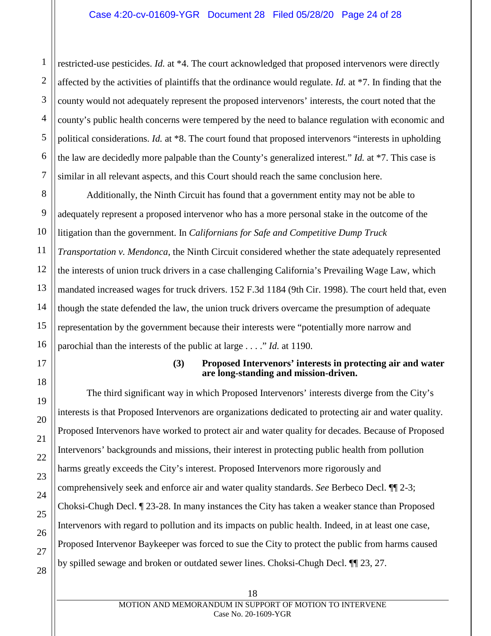restricted-use pesticides. *Id.* at \*4. The court acknowledged that proposed intervenors were directly affected by the activities of plaintiffs that the ordinance would regulate. *Id.* at \*7. In finding that the county would not adequately represent the proposed intervenors' interests, the court noted that the county's public health concerns were tempered by the need to balance regulation with economic and political considerations. *Id.* at \*8. The court found that proposed intervenors "interests in upholding the law are decidedly more palpable than the County's generalized interest." *Id.* at \*7. This case is similar in all relevant aspects, and this Court should reach the same conclusion here.

Additionally, the Ninth Circuit has found that a government entity may not be able to adequately represent a proposed intervenor who has a more personal stake in the outcome of the litigation than the government. In *Californians for Safe and Competitive Dump Truck Transportation v. Mendonca*, the Ninth Circuit considered whether the state adequately represented the interests of union truck drivers in a case challenging California's Prevailing Wage Law, which mandated increased wages for truck drivers. 152 F.3d 1184 (9th Cir. 1998). The court held that, even though the state defended the law, the union truck drivers overcame the presumption of adequate representation by the government because their interests were "potentially more narrow and parochial than the interests of the public at large . . . ." *Id.* at 1190.

#### <span id="page-23-1"></span>**(3) Proposed Intervenors' interests in protecting air and water are long-standing and mission-driven.**

<span id="page-23-0"></span>The third significant way in which Proposed Intervenors' interests diverge from the City's interests is that Proposed Intervenors are organizations dedicated to protecting air and water quality. Proposed Intervenors have worked to protect air and water quality for decades. Because of Proposed Intervenors' backgrounds and missions, their interest in protecting public health from pollution harms greatly exceeds the City's interest. Proposed Intervenors more rigorously and comprehensively seek and enforce air and water quality standards. *See* Berbeco Decl. ¶¶ 2-3; Choksi-Chugh Decl. ¶ 23-28. In many instances the City has taken a weaker stance than Proposed Intervenors with regard to pollution and its impacts on public health. Indeed, in at least one case, Proposed Intervenor Baykeeper was forced to sue the City to protect the public from harms caused by spilled sewage and broken or outdated sewer lines. Choksi-Chugh Decl. ¶¶ 23, 27.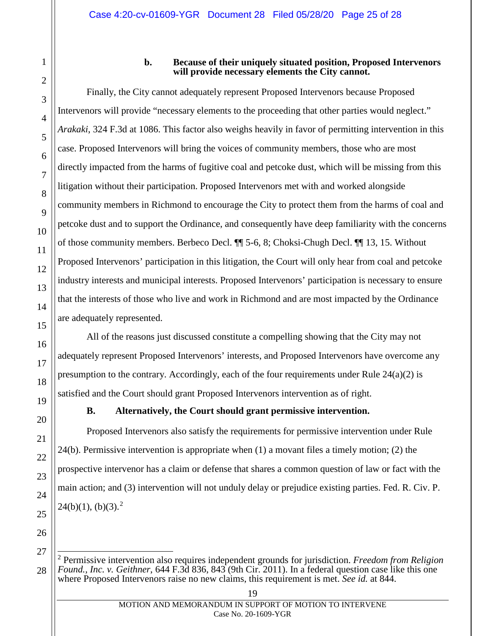## **b. Because of their uniquely situated position, Proposed Intervenors will provide necessary elements the City cannot.**

<span id="page-24-2"></span><span id="page-24-0"></span>Finally, the City cannot adequately represent Proposed Intervenors because Proposed Intervenors will provide "necessary elements to the proceeding that other parties would neglect." *Arakaki*, 324 F.3d at 1086. This factor also weighs heavily in favor of permitting intervention in this case. Proposed Intervenors will bring the voices of community members, those who are most directly impacted from the harms of fugitive coal and petcoke dust, which will be missing from this litigation without their participation. Proposed Intervenors met with and worked alongside community members in Richmond to encourage the City to protect them from the harms of coal and petcoke dust and to support the Ordinance, and consequently have deep familiarity with the concerns of those community members. Berbeco Decl. ¶¶ 5-6, 8; Choksi-Chugh Decl. ¶¶ 13, 15. Without Proposed Intervenors' participation in this litigation, the Court will only hear from coal and petcoke industry interests and municipal interests. Proposed Intervenors' participation is necessary to ensure that the interests of those who live and work in Richmond and are most impacted by the Ordinance are adequately represented.

All of the reasons just discussed constitute a compelling showing that the City may not adequately represent Proposed Intervenors' interests, and Proposed Intervenors have overcome any presumption to the contrary. Accordingly, each of the four requirements under Rule  $24(a)(2)$  is satisfied and the Court should grant Proposed Intervenors intervention as of right.

## <span id="page-24-5"></span><span id="page-24-4"></span><span id="page-24-3"></span>**B. Alternatively, the Court should grant permissive intervention.**

<span id="page-24-1"></span>Proposed Intervenors also satisfy the requirements for permissive intervention under Rule 24(b). Permissive intervention is appropriate when (1) a movant files a timely motion; (2) the prospective intervenor has a claim or defense that shares a common question of law or fact with the main action; and (3) intervention will not unduly delay or prejudice existing parties. Fed. R. Civ. P.  $24(b)(1)$  $24(b)(1)$ ,  $(b)(3)$ .<sup>2</sup>

<span id="page-24-6"></span><sup>28</sup> 2 Permissive intervention also requires independent grounds for jurisdiction. *Freedom from Religion Found., Inc. v. Geithner*, 644 F.3d 836, 843 (9th Cir. 2011). In a federal question case like this one where Proposed Intervenors raise no new claims, this requirement is met. *See id.* at 844.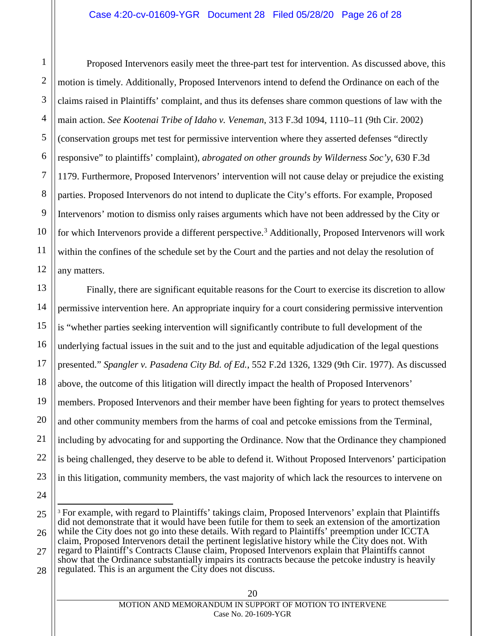Proposed Intervenors easily meet the three-part test for intervention. As discussed above, this motion is timely. Additionally, Proposed Intervenors intend to defend the Ordinance on each of the claims raised in Plaintiffs' complaint, and thus its defenses share common questions of law with the main action. *See Kootenai Tribe of Idaho v. Veneman*, 313 F.3d 1094, 1110–11 (9th Cir. 2002) (conservation groups met test for permissive intervention where they asserted defenses "directly responsive" to plaintiffs' complaint), *abrogated on other grounds by Wilderness Soc'y*, 630 F.3d 1179. Furthermore, Proposed Intervenors' intervention will not cause delay or prejudice the existing parties. Proposed Intervenors do not intend to duplicate the City's efforts. For example, Proposed Intervenors' motion to dismiss only raises arguments which have not been addressed by the City or for which Intervenors provide a different perspective.<sup>[3](#page-25-2)</sup> Additionally, Proposed Intervenors will work within the confines of the schedule set by the Court and the parties and not delay the resolution of any matters.

13 18 Finally, there are significant equitable reasons for the Court to exercise its discretion to allow permissive intervention here. An appropriate inquiry for a court considering permissive intervention is "whether parties seeking intervention will significantly contribute to full development of the underlying factual issues in the suit and to the just and equitable adjudication of the legal questions presented." *Spangler v. Pasadena City Bd. of Ed.*, 552 F.2d 1326, 1329 (9th Cir. 1977). As discussed above, the outcome of this litigation will directly impact the health of Proposed Intervenors' members. Proposed Intervenors and their member have been fighting for years to protect themselves and other community members from the harms of coal and petcoke emissions from the Terminal, including by advocating for and supporting the Ordinance. Now that the Ordinance they championed is being challenged, they deserve to be able to defend it. Without Proposed Intervenors' participation in this litigation, community members, the vast majority of which lack the resources to intervene on

24

1

2

3

<span id="page-25-0"></span>4

5

6

7

8

9

10

11

12

14

15

16

<span id="page-25-1"></span>17

19

20

21

22

<span id="page-25-2"></span><sup>25</sup> 26 27 28 <sup>3</sup> For example, with regard to Plaintiffs' takings claim, Proposed Intervenors' explain that Plaintiffs did not demonstrate that it would have been futile for them to seek an extension of the amortization while the City does not go into these details. With regard to Plaintiffs' preemption under ICCTA claim, Proposed Intervenors detail the pertinent legislative history while the City does not. With regard to Plaintiff's Contracts Clause claim, Proposed Intervenors explain that Plaintiffs cannot show that the Ordinance substantially impairs its contracts because the petcoke industry is heavily regulated. This is an argument the City does not discuss.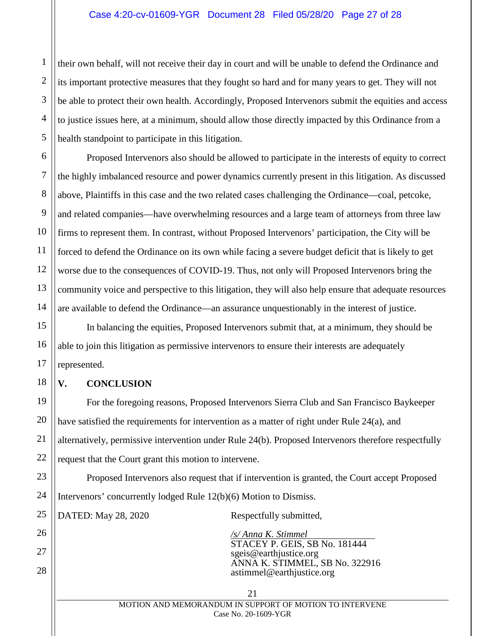#### Case 4:20-cv-01609-YGR Document 28 Filed 05/28/20 Page 27 of 28

their own behalf, will not receive their day in court and will be unable to defend the Ordinance and its important protective measures that they fought so hard and for many years to get. They will not be able to protect their own health. Accordingly, Proposed Intervenors submit the equities and access to justice issues here, at a minimum, should allow those directly impacted by this Ordinance from a health standpoint to participate in this litigation.

Proposed Intervenors also should be allowed to participate in the interests of equity to correct the highly imbalanced resource and power dynamics currently present in this litigation. As discussed above, Plaintiffs in this case and the two related cases challenging the Ordinance—coal, petcoke, and related companies—have overwhelming resources and a large team of attorneys from three law firms to represent them. In contrast, without Proposed Intervenors' participation, the City will be forced to defend the Ordinance on its own while facing a severe budget deficit that is likely to get worse due to the consequences of COVID-19. Thus, not only will Proposed Intervenors bring the community voice and perspective to this litigation, they will also help ensure that adequate resources are available to defend the Ordinance—an assurance unquestionably in the interest of justice.

In balancing the equities, Proposed Intervenors submit that, at a minimum, they should be able to join this litigation as permissive intervenors to ensure their interests are adequately represented.

#### <span id="page-26-0"></span>**V. CONCLUSION**

For the foregoing reasons, Proposed Intervenors Sierra Club and San Francisco Baykeeper have satisfied the requirements for intervention as a matter of right under Rule 24(a), and alternatively, permissive intervention under Rule 24(b). Proposed Intervenors therefore respectfully request that the Court grant this motion to intervene.

Proposed Intervenors also request that if intervention is granted, the Court accept Proposed Intervenors' concurrently lodged Rule 12(b)(6) Motion to Dismiss.

DATED: May 28, 2020 Respectfully submitted,

<span id="page-26-1"></span>*/s/ Anna K. Stimmel* STACEY P. GEIS, SB No. 181444 sgeis@earthjustice.org ANNA K. STIMMEL, SB No. 322916 astimmel@earthjustice.org